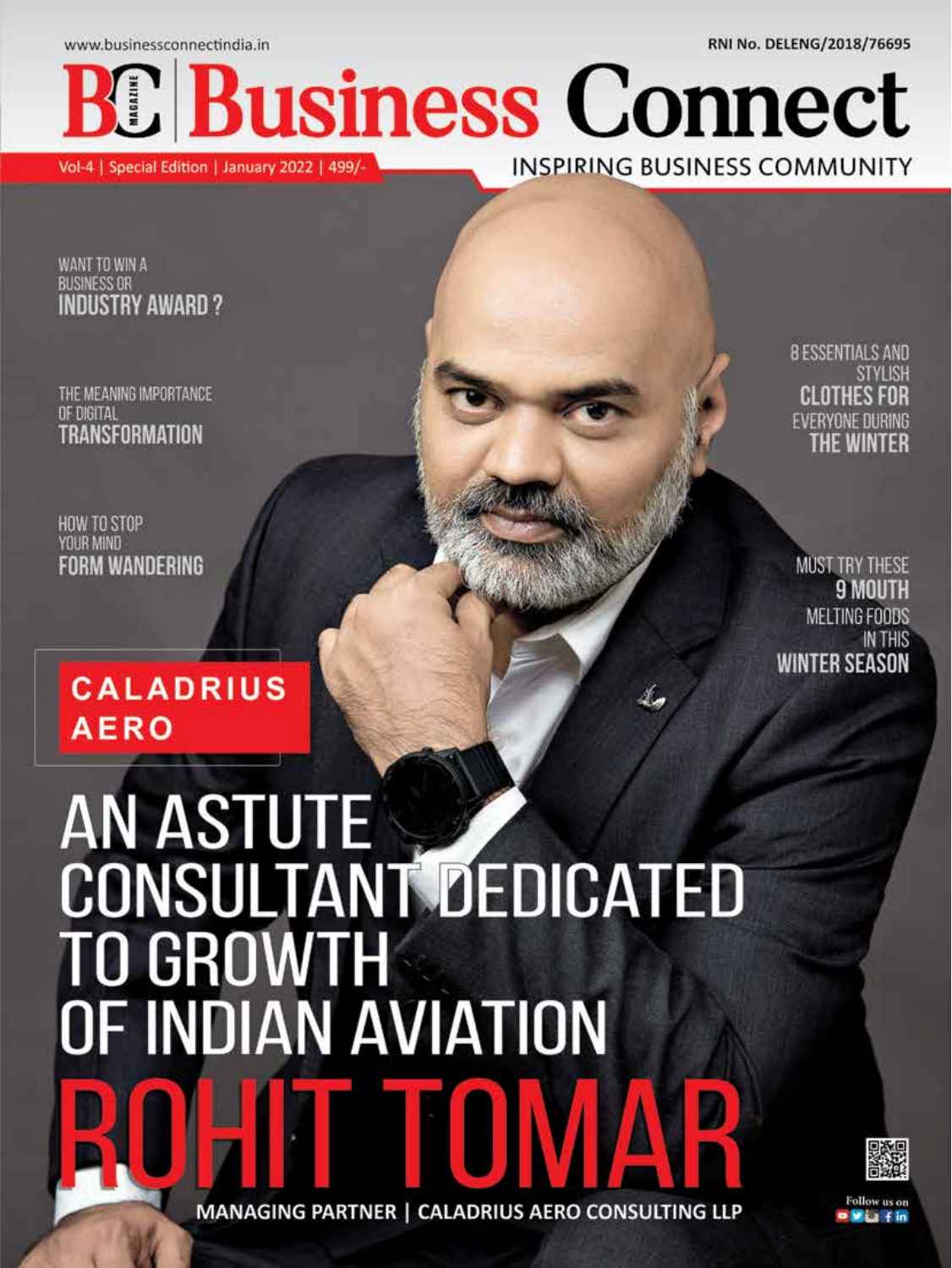www.businessconnectindia.in

RNI No. DELENG/2018/76695

**Business Connect** 

Vol-4 | Special Edition | January 2022 | 499/-

**INSPIRING BUSINESS COMMUNITY** 

WANT TO WIN A **BUSINESS OR INDUSTRY AWARD?** 

THE MEANING IMPORTANCE OF DIGITAL **TRANSFORMATION** 

HOW TO STOP<br>YOUR MIND **FORM WANDERING** 

# **CALADRIUS AERO**

# AN ASTUTE<br>CONSULTANT DEDICATED TO GROWTH<br>OF INDIAN AVIATION

MANAGING PARTNER | CALADRIUS AERO CONSULTING LLP



**8 ESSENTIALS AND STYLISH** CI OTHES FOR **EVERYONE DURING** 

**MUST TRY THESE** 9 MOU MELTING FOODS **IN THIS** WINTER SEASON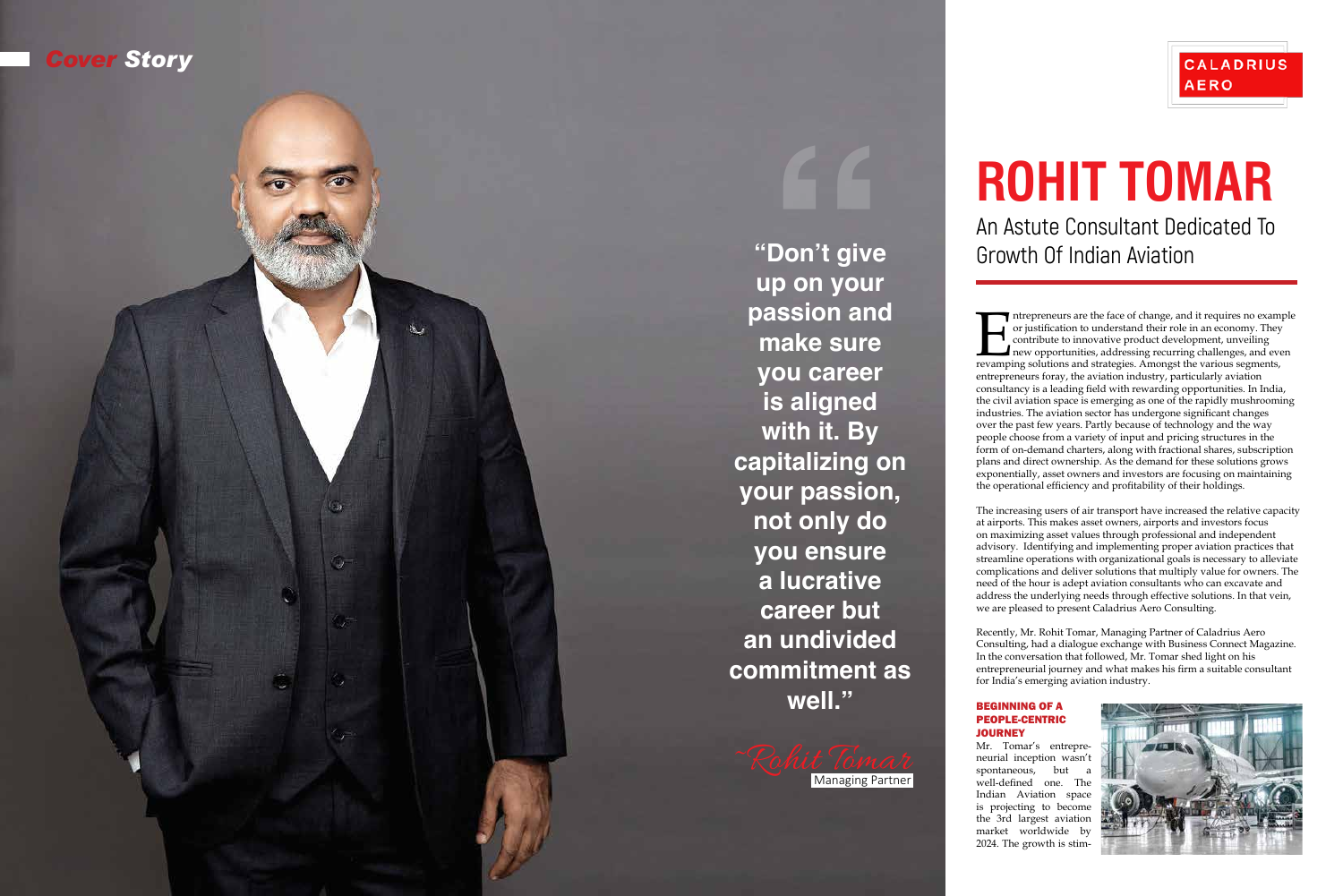Intrepreneurs are the face of change, and it requires no example or justification to understand their role in an economy. They contribute to innovative product development, unveiling new opportunities, addressing recurring or justification to understand their role in an economy. They contribute to innovative product development, unveiling new opportunities, addressing recurring challenges, and even revamping solutions and strategies. Amongst the various segments, entrepreneurs foray, the aviation industry, particularly aviation consultancy is a leading field with rewarding opportunities. In India, the civil aviation space is emerging as one of the rapidly mushrooming industries. The aviation sector has undergone significant changes over the past few years. Partly because of technology and the way people choose from a variety of input and pricing structures in the form of on-demand charters, along with fractional shares, subscription plans and direct ownership. As the demand for these solutions grows exponentially, asset owners and investors are focusing on maintaining the operational efficiency and profitability of their holdings.

**"Don't give up on your passion and make sure you career is aligned with it. By capitalizing on your passion, not only do you ensure a lucrative career but an undivided commitment as well."** \*Don't give<br>
the An Astute Consultant Dedicated To<br>
up on your<br>
massion and<br>
make sure<br>
you career<br>
is aligned<br>
with it. By<br>
capitalizing on<br>
your passion,<br>
not only do<br>
you ensure<br>
a lucrative<br>
a lucrative<br>
career but<br>
a



The increasing users of air transport have increased the relative capacity at airports. This makes asset owners, airports and investors focus on maximizing asset values through professional and independent advisory. Identifying and implementing proper aviation practices that streamline operations with organizational goals is necessary to alleviate complications and deliver solutions that multiply value for owners. The need of the hour is adept aviation consultants who can excavate and address the underlying needs through effective solutions. In that vein, we are pleased to present Caladrius Aero Consulting.

Recently, Mr. Rohit Tomar, Managing Partner of Caladrius Aero Consulting, had a dialogue exchange with Business Connect Magazine. In the conversation that followed, Mr. Tomar shed light on his entrepreneurial journey and what makes his firm a suitable consultant for India's emerging aviation industry.

# **JOURNEY**

## **CALADRIUS AERO**

## BEGINNING OF A PEOPLE-CENTRIC

Mr. Tomar's entrepre neurial inception wasn't spontaneous, but well-defined one. The Indian Aviation space is projecting to become the 3rd largest aviation market worldwide by 2024. The growth is stim -



# An Astute Consultant Dedicated To Growth Of Indian Aviation

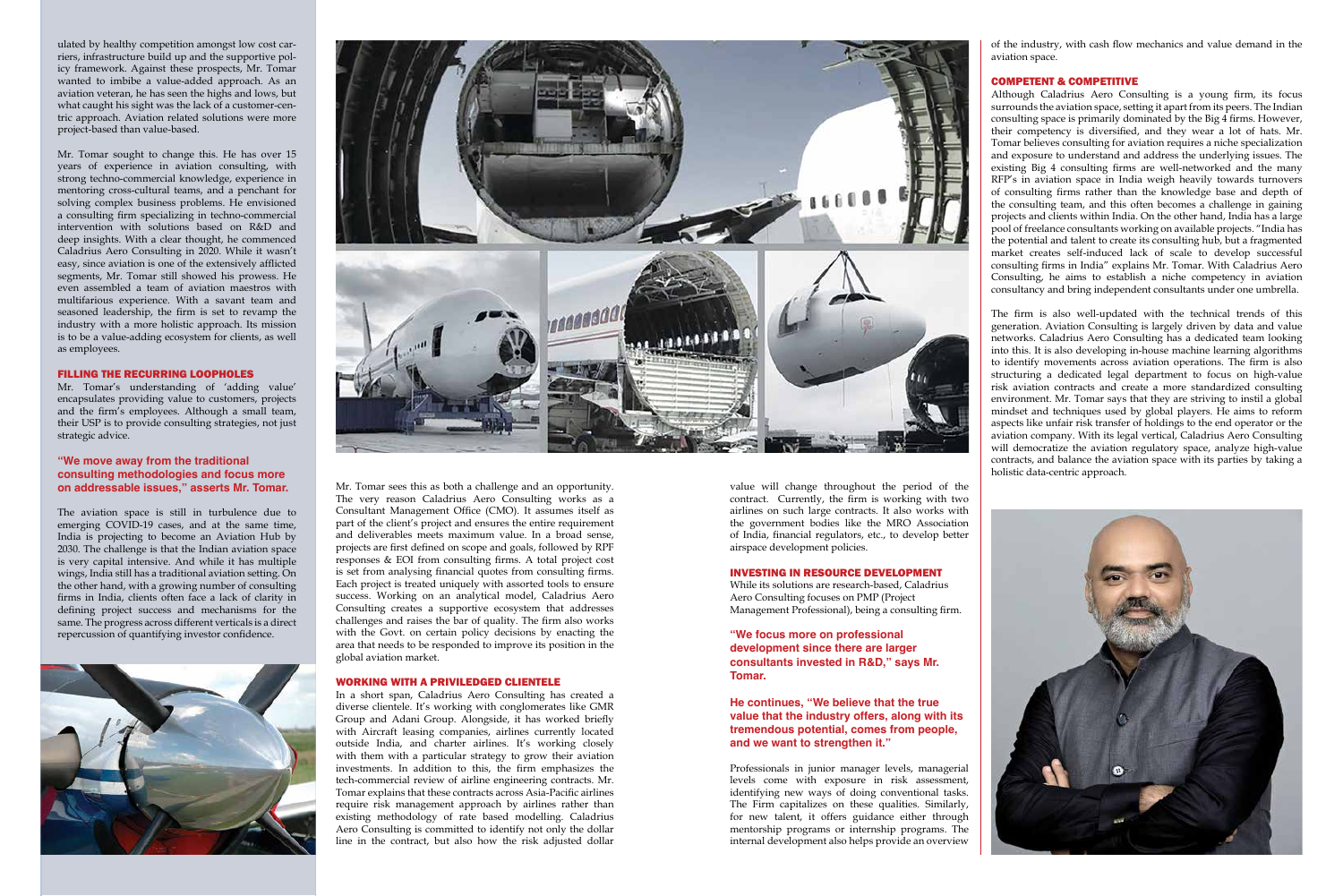ulated by healthy competition amongst low cost carriers, infrastructure build up and the supportive policy framework. Against these prospects, Mr. Tomar wanted to imbibe a value-added approach. As an aviation veteran, he has seen the highs and lows, but what caught his sight was the lack of a customer-centric approach. Aviation related solutions were more project-based than value-based.

Mr. Tomar's understanding of 'adding value' encapsulates providing value to customers, projects and the firm's employees. Although a small team, their USP is to provide consulting strategies, not just strategic advice.

Mr. Tomar sought to change this. He has over 15 years of experience in aviation consulting, with strong techno-commercial knowledge, experience in mentoring cross-cultural teams, and a penchant for solving complex business problems. He envisioned a consulting firm specializing in techno-commercial intervention with solutions based on R&D and deep insights. With a clear thought, he commenced Caladrius Aero Consulting in 2020. While it wasn't easy, since aviation is one of the extensively afflicted segments, Mr. Tomar still showed his prowess. He even assembled a team of aviation maestros with multifarious experience. With a savant team and seasoned leadership, the firm is set to revamp the industry with a more holistic approach. Its mission is to be a value-adding ecosystem for clients, as well as employees.

#### FILLING THE RECURRING LOOPHOLES

#### **"We move away from the traditional consulting methodologies and focus more on addressable issues," asserts Mr. Tomar.**

The aviation space is still in turbulence due to emerging COVID-19 cases, and at the same time, India is projecting to become an Aviation Hub by 2030. The challenge is that the Indian aviation space is very capital intensive. And while it has multiple wings, India still has a traditional aviation setting. On the other hand, with a growing number of consulting firms in India, clients often face a lack of clarity in defining project success and mechanisms for the same. The progress across different verticals is a direct repercussion of quantifying investor confidence.





Mr. Tomar sees this as both a challenge and an opportunity. The very reason Caladrius Aero Consulting works as a Consultant Management Office (CMO). It assumes itself as part of the client's project and ensures the entire requirement and deliverables meets maximum value. In a broad sense, projects are first defined on scope and goals, followed by RPF responses & EOI from consulting firms. A total project cost is set from analysing financial quotes from consulting firms. Each project is treated uniquely with assorted tools to ensure success. Working on an analytical model, Caladrius Aero Consulting creates a supportive ecosystem that addresses challenges and raises the bar of quality. The firm also works with the Govt. on certain policy decisions by enacting the area that needs to be responded to improve its position in the global aviation market.

#### WORKING WITH A PRIVILEDGED CLIENTELE

In a short span, Caladrius Aero Consulting has created a diverse clientele. It's working with conglomerates like GMR Group and Adani Group. Alongside, it has worked briefly with Aircraft leasing companies, airlines currently located outside India, and charter airlines. It's working closely with them with a particular strategy to grow their aviation investments. In addition to this, the firm emphasizes the tech-commercial review of airline engineering contracts. Mr. Tomar explains that these contracts across Asia-Pacific airlines require risk management approach by airlines rather than existing methodology of rate based modelling. Caladrius Aero Consulting is committed to identify not only the dollar line in the contract, but also how the risk adjusted dollar

value will change throughout the period of the contract. Currently, the firm is working with two airlines on such large contracts. It also works with the government bodies like the MRO Association of India, financial regulators, etc., to develop better airspace development policies.

#### INVESTING IN RESOURCE DEVELOPMENT

While its solutions are research-based, Caladrius Aero Consulting focuses on PMP (Project Management Professional), being a consulting firm.

**"We focus more on professional development since there are larger consultants invested in R&D," says Mr. Tomar.** 

**He continues, "We believe that the true value that the industry offers, along with its tremendous potential, comes from people, and we want to strengthen it."** 

Professionals in junior manager levels, managerial levels come with exposure in risk assessment, identifying new ways of doing conventional tasks. The Firm capitalizes on these qualities. Similarly, for new talent, it offers guidance either through mentorship programs or internship programs. The internal development also helps provide an overview of the industry, with cash flow mechanics and value demand in the aviation space.

### COMPETENT & COMPETITIVE

Although Caladrius Aero Consulting is a young firm, its focus surrounds the aviation space, setting it apart from its peers. The Indian consulting space is primarily dominated by the Big 4 firms. However, their competency is diversified, and they wear a lot of hats. Mr. Tomar believes consulting for aviation requires a niche specialization and exposure to understand and address the underlying issues. The existing Big 4 consulting firms are well-networked and the many RFP's in aviation space in India weigh heavily towards turnovers of consulting firms rather than the knowledge base and depth of the consulting team, and this often becomes a challenge in gaining projects and clients within India. On the other hand, India has a large pool of freelance consultants working on available projects. "India has the potential and talent to create its consulting hub, but a fragmented market creates self-induced lack of scale to develop successful consulting firms in India" explains Mr. Tomar. With Caladrius Aero Consulting, he aims to establish a niche competency in aviation consultancy and bring independent consultants under one umbrella.

The firm is also well-updated with the technical trends of this generation. Aviation Consulting is largely driven by data and value networks. Caladrius Aero Consulting has a dedicated team looking into this. It is also developing in-house machine learning algorithms to identify movements across aviation operations. The firm is also structuring a dedicated legal department to focus on high-value risk aviation contracts and create a more standardized consulting environment. Mr. Tomar says that they are striving to instil a global mindset and techniques used by global players. He aims to reform aspects like unfair risk transfer of holdings to the end operator or the aviation company. With its legal vertical, Caladrius Aero Consulting will democratize the aviation regulatory space, analyze high-value contracts, and balance the aviation space with its parties by taking a holistic data-centric approach.